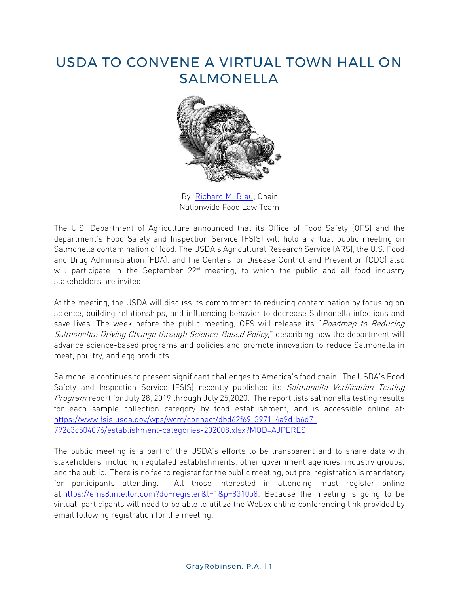## USDA TO CONVENE A VIRTUAL TOWN HALL ON SALMONELLA



By: [Richard M. Blau,](http://www.gray-robinson.com/attorneys-professionals/richard-m-blau) Chair Nationwide Food Law Team

The U.S. Department of Agriculture announced that its Office of Food Safety (OFS) and the department's Food Safety and Inspection Service (FSIS) will hold a virtual public meeting on Salmonella contamination of food. The USDA's Agricultural Research Service (ARS), the U.S. Food and Drug Administration (FDA), and the Centers for Disease Control and Prevention (CDC) also will participate in the September  $22<sup>nd</sup>$  meeting, to which the public and all food industry stakeholders are invited.

At the meeting, the USDA will discuss its commitment to reducing contamination by focusing on science, building relationships, and influencing behavior to decrease Salmonella infections and save lives. The week before the public meeting, OFS will release its "Roadmap to Reducing Salmonella: Driving Change through Science-Based Policy," describing how the department will advance science-based programs and policies and promote innovation to reduce Salmonella in meat, poultry, and egg products.

Salmonella continues to present significant challenges to America's food chain. The USDA's Food Safety and Inspection Service (FSIS) recently published its Salmonella Verification Testing Program report for July 28, 2019 through July 25,2020. The report lists salmonella testing results for each sample collection category by food establishment, and is accessible online at: [https://www.fsis.usda.gov/wps/wcm/connect/dbd62f69-3971-4a9d-b6d7-](https://www.fsis.usda.gov/wps/wcm/connect/dbd62f69-3971-4a9d-b6d7-792c3c504076/establishment-categories-202008.xlsx?MOD=AJPERES) [792c3c504076/establishment-categories-202008.xlsx?MOD=AJPERES](https://www.fsis.usda.gov/wps/wcm/connect/dbd62f69-3971-4a9d-b6d7-792c3c504076/establishment-categories-202008.xlsx?MOD=AJPERES)

The public meeting is a part of the USDA's efforts to be transparent and to share data with stakeholders, including regulated establishments, other government agencies, industry groups, and the public. There is no fee to register for the public meeting, but pre-registration is mandatory for participants attending. All those interested in attending must register online at [https://ems8.intellor.com?do=register&t=1&p=831058.](https://ems8.intellor.com/?do=register&t=1&p=831058) Because the meeting is going to be virtual, participants will need to be able to utilize the Webex online conferencing link provided by email following registration for the meeting.